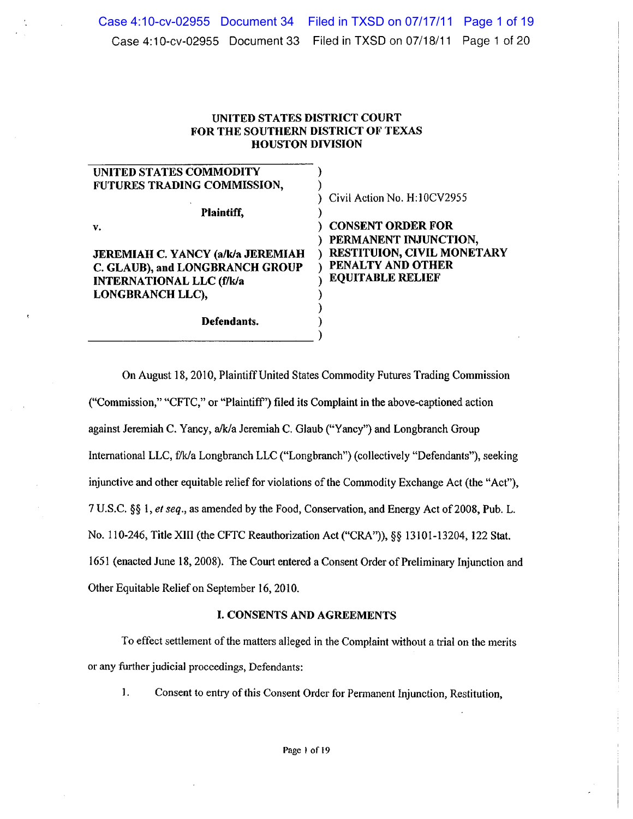# UNITED STATES DISTRICT COURT FOR THE SOUTHERN DISTRICT OF TEXAS **HOUSTON DIVISION**

| Civil Action No. H:10CV2955 |
|-----------------------------|
|                             |
| <b>CONSENT ORDER FOR</b>    |
| PERMANENT INJUNCTION,       |
| RESTITUION, CIVIL MONETARY  |
| PENALTY AND OTHER           |
| <b>EQUITABLE RELIEF</b>     |
|                             |
|                             |
|                             |
|                             |

On August 18, 2010, Plaintiff United States Commodity Futures Trading Commission ("Commission," "CFTC," or "Plaintiff") filed its Complaint in the above-captioned action against Jeremiah C. Yancy, a/k/a Jeremiah C. Glaub ("Yancy") and Longbranch Group International LLC, f/k/a Longbranch LLC ("Longbranch") (collectively "Defendants"), seeking injunctive and other equitable relief for violations of the Commodity Exchange Act (the "Act"), 7 U.S.C. §§ 1, et seq., as amended by the Food, Conservation, and Energy Act of 2008, Pub. L. No. 110-246, Title XIII (the CFTC Reauthorization Act ("CRA")), §§ 13101-13204, 122 Stat. 1651 (enacted June 18, 2008). The Court entered a Consent Order of Preliminary Injunction and Other Equitable Relief on September 16, 2010.

### **I. CONSENTS AND AGREEMENTS**

To effect settlement of the matters alleged in the Complaint without a trial on the merits or any further judicial proceedings, Defendants:

 $\mathbf{1}$ . Consent to entry of this Consent Order for Permanent Injunction, Restitution,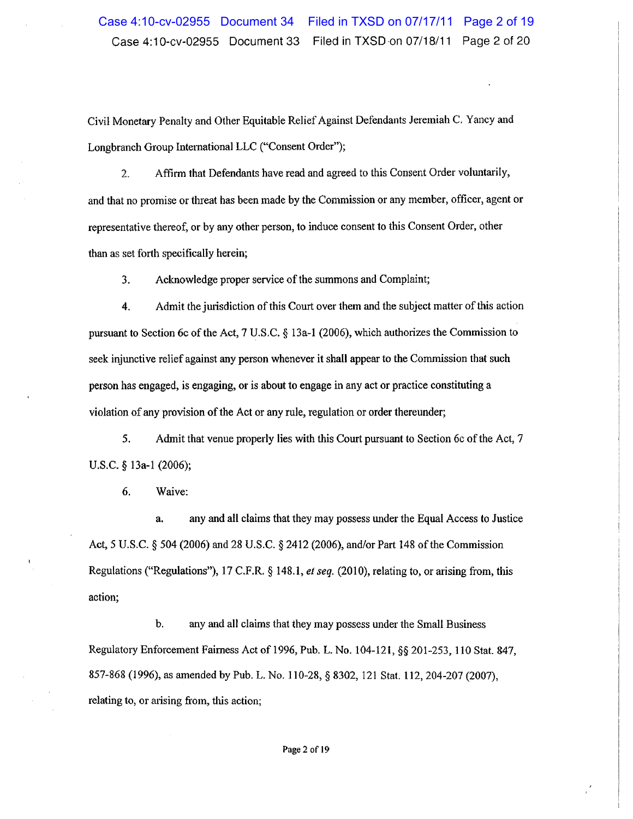Civil Monetary Penalty and Other Equitable Relief Against Defendants Jeremiah C. Yancy and Longbranch Group International LLC ("Consent Order");

Affirm that Defendants have read and agreed to this Consent Order voluntarily,  $\overline{2}$ . and that no promise or threat has been made by the Commission or any member, officer, agent or representative thereof, or by any other person, to induce consent to this Consent Order, other than as set forth specifically herein;

 $3<sub>1</sub>$ Acknowledge proper service of the summons and Complaint;

 $4.$ Admit the jurisdiction of this Court over them and the subject matter of this action pursuant to Section 6c of the Act, 7 U.S.C.  $\S$  13a-1 (2006), which authorizes the Commission to seek injunctive relief against any person whenever it shall appear to the Commission that such person has engaged, is engaging, or is about to engage in any act or practice constituting a violation of any provision of the Act or any rule, regulation or order thereunder;

5. Admit that venue properly lies with this Court pursuant to Section 6c of the Act, 7 U.S.C.  $§$  13a-1 (2006);

6. Waive:

any and all claims that they may possess under the Equal Access to Justice  $\mathbf{a}$ Act, 5 U.S.C. § 504 (2006) and 28 U.S.C. § 2412 (2006), and/or Part 148 of the Commission Regulations ("Regulations"), 17 C.F.R.  $\S$  148.1, *et seq.* (2010), relating to, or arising from, this action;

 $\mathbf b$ . any and all claims that they may possess under the Small Business Regulatory Enforcement Fairness Act of 1996, Pub. L. No. 104-121, §§ 201-253, 110 Stat. 847, 857-868 (1996), as amended by Pub. L. No. 110-28, § 8302, 121 Stat. 112, 204-207 (2007), relating to, or arising from, this action;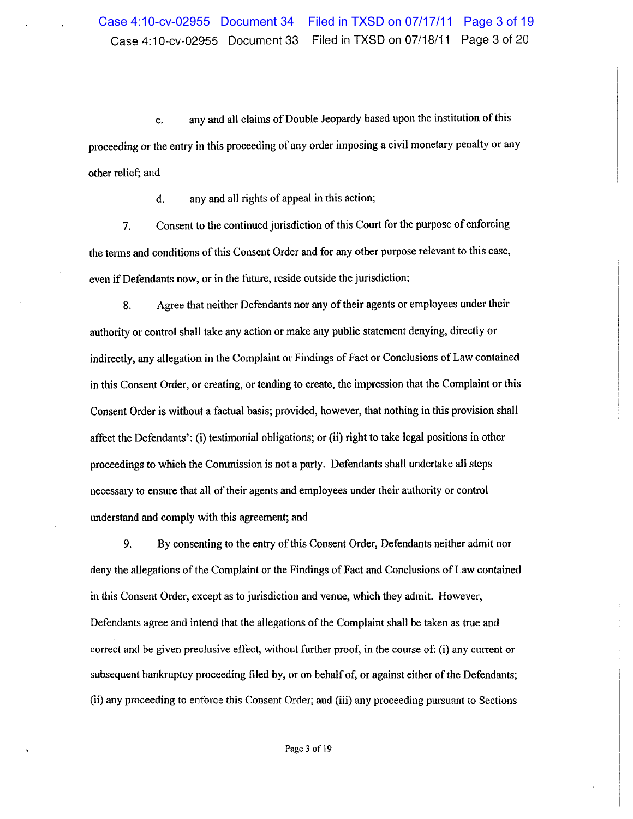any and all claims of Double Jeopardy based upon the institution of this c. proceeding or the entry in this proceeding of any order imposing a civil monetary penalty or any other relief; and

> any and all rights of appeal in this action; d.

Consent to the continued jurisdiction of this Court for the purpose of enforcing 7. the terms and conditions of this Consent Order and for any other purpose relevant to this case, even if Defendants now, or in the future, reside outside the jurisdiction;

Agree that neither Defendants nor any of their agents or employees under their 8. authority or control shall take any action or make any public statement denying, directly or indirectly, any allegation in the Complaint or Findings of Fact or Conclusions of Law contained in this Consent Order, or creating, or tending to create, the impression that the Complaint or this Consent Order is without a factual basis; provided, however, that nothing in this provision shall affect the Defendants': (i) testimonial obligations; or (ii) right to take legal positions in other proceedings to which the Commission is not a party. Defendants shall undertake all steps necessary to ensure that all of their agents and employees under their authority or control understand and comply with this agreement; and

By consenting to the entry of this Consent Order, Defendants neither admit nor 9. deny the allegations of the Complaint or the Findings of Fact and Conclusions of Law contained in this Consent Order, except as to jurisdiction and venue, which they admit. However, Defendants agree and intend that the allegations of the Complaint shall be taken as true and correct and be given preclusive effect, without further proof, in the course of: (i) any current or subsequent bankruptcy proceeding filed by, or on behalf of, or against either of the Defendants; (ii) any proceeding to enforce this Consent Order; and (iii) any proceeding pursuant to Sections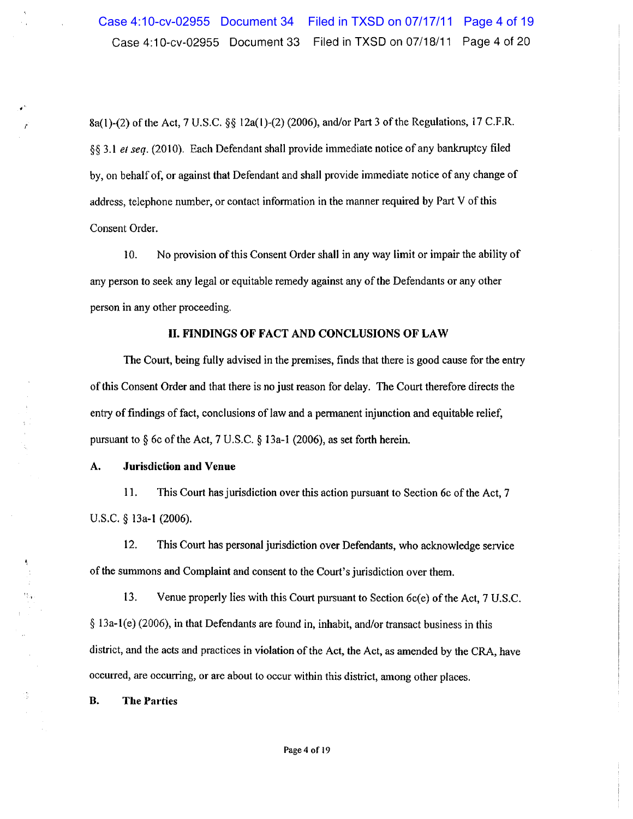8a(1)-(2) of the Act, 7 U.S.C. §§ 12a(1)-(2) (2006), and/or Part 3 of the Regulations, 17 C.F.R. §§ 3.1 et seq. (2010). Each Defendant shall provide immediate notice of any bankruptcy filed by, on behalf of, or against that Defendant and shall provide immediate notice of any change of address, telephone number, or contact information in the manner required by Part V of this Consent Order.

 $10.$ No provision of this Consent Order shall in any way limit or impair the ability of any person to seek any legal or equitable remedy against any of the Defendants or any other person in any other proceeding.

### II. FINDINGS OF FACT AND CONCLUSIONS OF LAW

The Court, being fully advised in the premises, finds that there is good cause for the entry of this Consent Order and that there is no just reason for delay. The Court therefore directs the entry of findings of fact, conclusions of law and a permanent injunction and equitable relief, pursuant to  $\S$  6c of the Act, 7 U.S.C.  $\S$  13a-1 (2006), as set forth herein.

### **Jurisdiction and Venue** A.

11. This Court has jurisdiction over this action pursuant to Section 6c of the Act, 7 U.S.C. § 13a-1 (2006).

12. This Court has personal jurisdiction over Defendants, who acknowledge service of the summons and Complaint and consent to the Court's jurisdiction over them.

13. Venue properly lies with this Court pursuant to Section 6c(e) of the Act, 7 U.S.C.  $\S$  13a-1(e) (2006), in that Defendants are found in, inhabit, and/or transact business in this district, and the acts and practices in violation of the Act, the Act, as amended by the CRA, have occurred, are occurring, or are about to occur within this district, among other places.

**B. The Parties** 

 $\frac{1}{2}$ 

 $\hat{\mathcal{P}}$ 

 $\frac{1}{2}$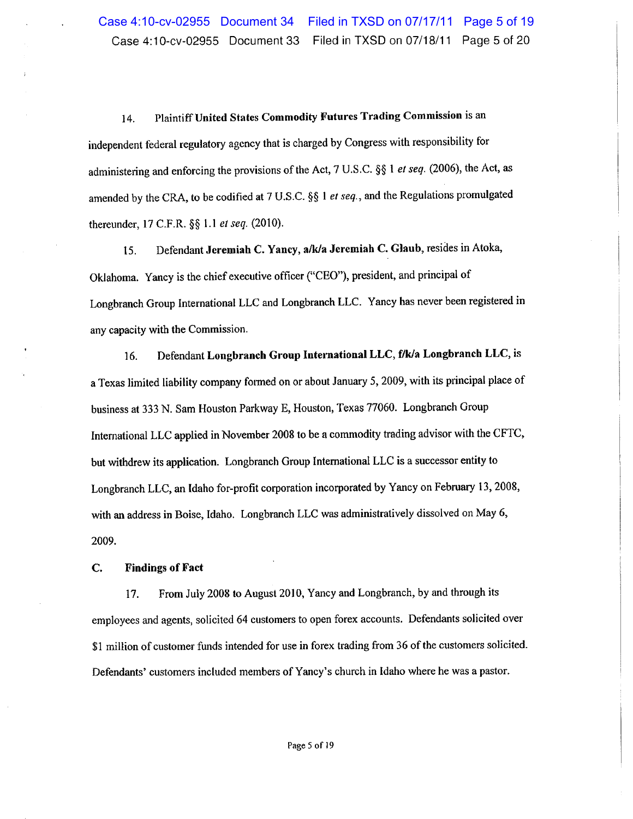Plaintiff United States Commodity Futures Trading Commission is an 14. independent federal regulatory agency that is charged by Congress with responsibility for administering and enforcing the provisions of the Act, 7 U.S.C. §§ 1 et seq. (2006), the Act, as amended by the CRA, to be codified at 7 U.S.C. §§ 1 et seq., and the Regulations promulgated thereunder, 17 C.F.R. §§ 1.1 et seq. (2010).

Defendant Jeremiah C. Yancy, a/k/a Jeremiah C. Glaub, resides in Atoka, 15. Oklahoma. Yancy is the chief executive officer ("CEO"), president, and principal of Longbranch Group International LLC and Longbranch LLC. Yancy has never been registered in any capacity with the Commission.

Defendant Longbranch Group International LLC, f/k/a Longbranch LLC, is 16. a Texas limited liability company formed on or about January 5, 2009, with its principal place of business at 333 N. Sam Houston Parkway E, Houston, Texas 77060. Longbranch Group International LLC applied in November 2008 to be a commodity trading advisor with the CFTC, but withdrew its application. Longbranch Group International LLC is a successor entity to Longbranch LLC, an Idaho for-profit corporation incorporated by Yancy on February 13, 2008, with an address in Boise, Idaho. Longbranch LLC was administratively dissolved on May 6, 2009.

### $C_{\cdot}$ **Findings of Fact**

17. From July 2008 to August 2010, Yancy and Longbranch, by and through its employees and agents, solicited 64 customers to open forex accounts. Defendants solicited over \$1 million of customer funds intended for use in forex trading from 36 of the customers solicited. Defendants' customers included members of Yancy's church in Idaho where he was a pastor.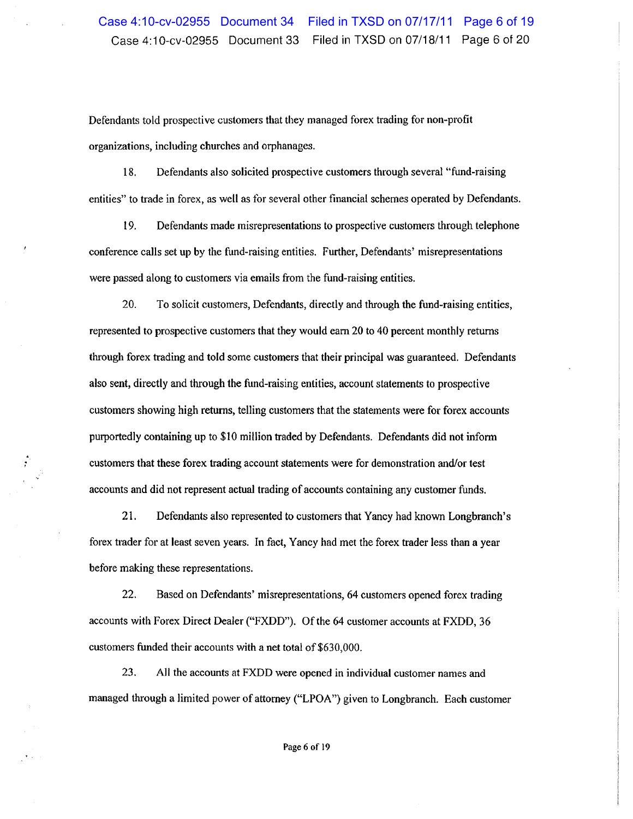Defendants told prospective customers that they managed forex trading for non-profit organizations, including churches and orphanages.

18. Defendants also solicited prospective customers through several "fund-raising" entities" to trade in forex, as well as for several other financial schemes operated by Defendants.

19. Defendants made misrepresentations to prospective customers through telephone conference calls set up by the fund-raising entities. Further, Defendants' misrepresentations were passed along to customers via emails from the fund-raising entities.

20. To solicit customers, Defendants, directly and through the fund-raising entities, represented to prospective customers that they would earn 20 to 40 percent monthly returns through forex trading and told some customers that their principal was guaranteed. Defendants also sent, directly and through the fund-raising entities, account statements to prospective customers showing high returns, telling customers that the statements were for forex accounts purportedly containing up to \$10 million traded by Defendants. Defendants did not inform customers that these forex trading account statements were for demonstration and/or test accounts and did not represent actual trading of accounts containing any customer funds.

21. Defendants also represented to customers that Yancy had known Longbranch's forex trader for at least seven years. In fact, Yancy had met the forex trader less than a year before making these representations.

 $22.$ Based on Defendants' misrepresentations, 64 customers opened forex trading accounts with Forex Direct Dealer ("FXDD"). Of the 64 customer accounts at FXDD, 36 customers funded their accounts with a net total of \$630,000.

23. All the accounts at FXDD were opened in individual customer names and managed through a limited power of attorney ("LPOA") given to Longbranch. Each customer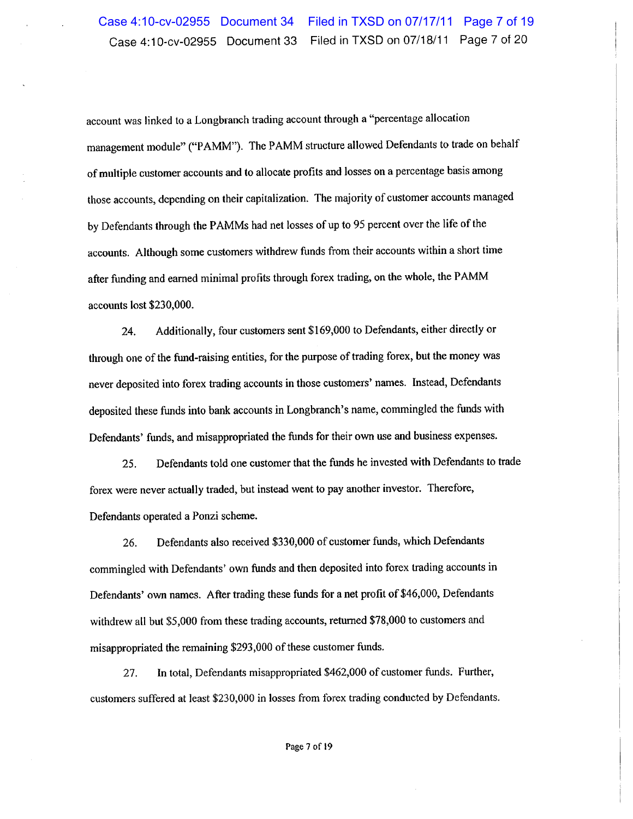account was linked to a Longbranch trading account through a "percentage allocation management module" ("PAMM"). The PAMM structure allowed Defendants to trade on behalf of multiple customer accounts and to allocate profits and losses on a percentage basis among those accounts, depending on their capitalization. The majority of customer accounts managed by Defendants through the PAMMs had net losses of up to 95 percent over the life of the accounts. Although some customers withdrew funds from their accounts within a short time after funding and earned minimal profits through forex trading, on the whole, the PAMM accounts lost \$230,000.

Additionally, four customers sent \$169,000 to Defendants, either directly or 24. through one of the fund-raising entities, for the purpose of trading forex, but the money was never deposited into forex trading accounts in those customers' names. Instead, Defendants deposited these funds into bank accounts in Longbranch's name, commingled the funds with Defendants' funds, and misappropriated the funds for their own use and business expenses.

Defendants told one customer that the funds he invested with Defendants to trade 25. forex were never actually traded, but instead went to pay another investor. Therefore, Defendants operated a Ponzi scheme.

Defendants also received \$330,000 of customer funds, which Defendants 26. commingled with Defendants' own funds and then deposited into forex trading accounts in Defendants' own names. After trading these funds for a net profit of \$46,000, Defendants withdrew all but \$5,000 from these trading accounts, returned \$78,000 to customers and misappropriated the remaining \$293,000 of these customer funds.

In total, Defendants misappropriated \$462,000 of customer funds. Further, 27. customers suffered at least \$230,000 in losses from forex trading conducted by Defendants.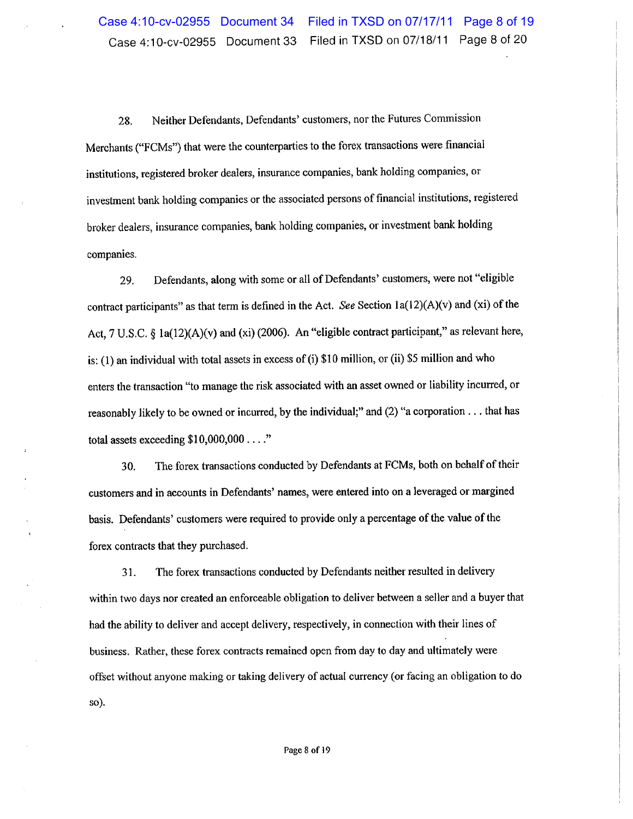Neither Defendants, Defendants' customers, nor the Futures Commission 28. Merchants ("FCMs") that were the counterparties to the forex transactions were financial institutions, registered broker dealers, insurance companies, bank holding companies, or investment bank holding companies or the associated persons of financial institutions, registered broker dealers, insurance companies, bank holding companies, or investment bank holding companies.

Defendants, along with some or all of Defendants' customers, were not "eligible 29. contract participants" as that term is defined in the Act. See Section  $1a(12)(A)(v)$  and (xi) of the Act, 7 U.S.C. § 1a(12)(A)(v) and (xi) (2006). An "eligible contract participant," as relevant here, is: (1) an individual with total assets in excess of (i) \$10 million, or (ii) \$5 million and who enters the transaction "to manage the risk associated with an asset owned or liability incurred, or reasonably likely to be owned or incurred, by the individual;" and (2) "a corporation . . . that has total assets exceeding  $$10,000,000...$ "

30. The forex transactions conducted by Defendants at FCMs, both on behalf of their customers and in accounts in Defendants' names, were entered into on a leveraged or margined basis. Defendants' customers were required to provide only a percentage of the value of the forex contracts that they purchased.

The forex transactions conducted by Defendants neither resulted in delivery 31. within two days nor created an enforceable obligation to deliver between a seller and a buyer that had the ability to deliver and accept delivery, respectively, in connection with their lines of business. Rather, these forex contracts remained open from day to day and ultimately were offset without anyone making or taking delivery of actual currency (or facing an obligation to do so).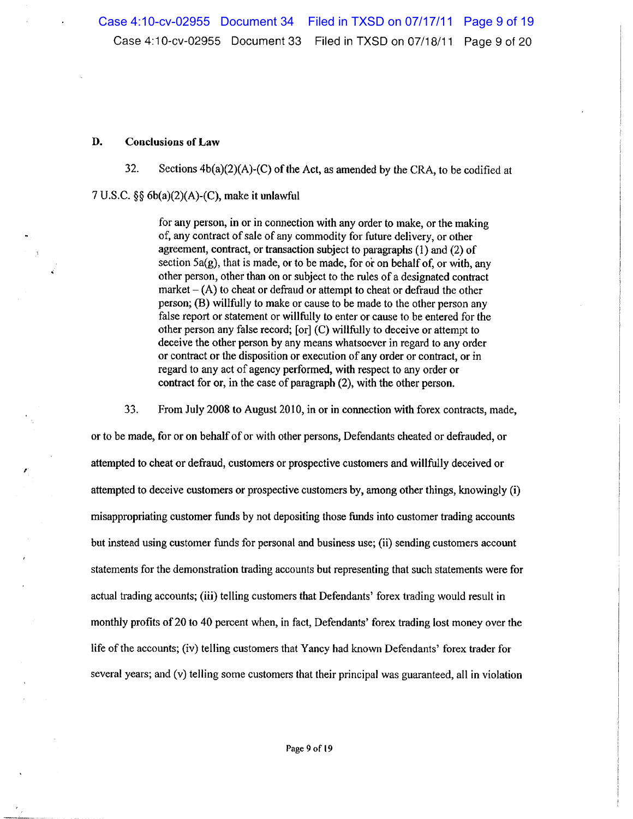### D. **Conclusions of Law**

32. Sections  $4b(a)(2)(A)$ -(C) of the Act, as amended by the CRA, to be codified at

7 U.S.C.  $\S\S 6b(a)(2)(A)-(C)$ , make it unlawful

for any person, in or in connection with any order to make, or the making of, any contract of sale of any commodity for future delivery, or other agreement, contract, or transaction subject to paragraphs (1) and (2) of section  $5a(g)$ , that is made, or to be made, for or on behalf of, or with, any other person, other than on or subject to the rules of a designated contract market  $-$  (A) to cheat or defraud or attempt to cheat or defraud the other person; (B) willfully to make or cause to be made to the other person any false report or statement or willfully to enter or cause to be entered for the other person any false record; [or] (C) willfully to deceive or attempt to deceive the other person by any means whatsoever in regard to any order or contract or the disposition or execution of any order or contract, or in regard to any act of agency performed, with respect to any order or contract for or, in the case of paragraph (2), with the other person.

33. From July 2008 to August 2010, in or in connection with forex contracts, made,

or to be made, for or on behalf of or with other persons, Defendants cheated or defrauded, or attempted to cheat or defraud, customers or prospective customers and willfully deceived or attempted to deceive customers or prospective customers by, among other things, knowingly (i) misappropriating customer funds by not depositing those funds into customer trading accounts but instead using customer funds for personal and business use; (ii) sending customers account statements for the demonstration trading accounts but representing that such statements were for actual trading accounts; (iii) telling customers that Defendants' forex trading would result in monthly profits of 20 to 40 percent when, in fact, Defendants' forex trading lost money over the life of the accounts; (iv) telling customers that Yancy had known Defendants' forex trader for several years; and (v) telling some customers that their principal was guaranteed, all in violation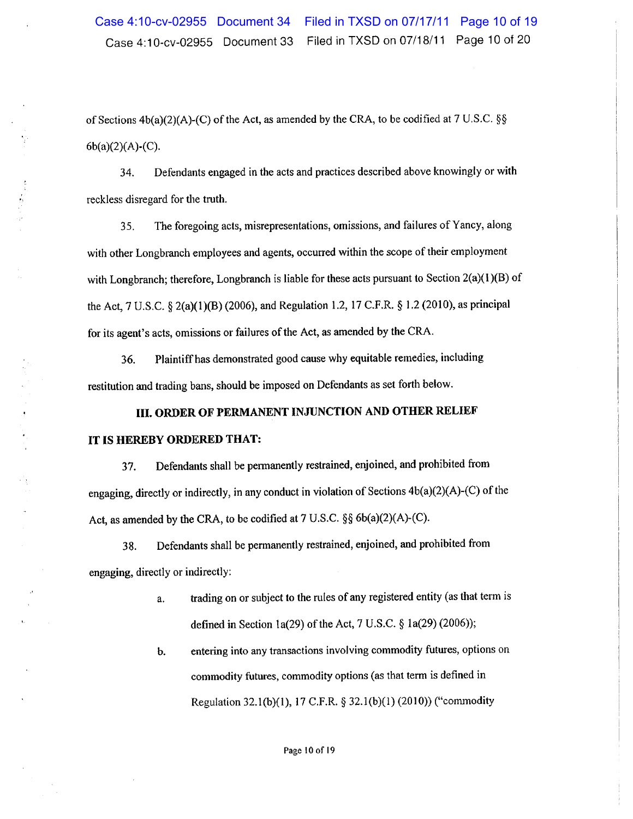of Sections  $4b(a)(2)(A)-(C)$  of the Act, as amended by the CRA, to be codified at 7 U.S.C. §§  $6b(a)(2)(A)-(C)$ .

Defendants engaged in the acts and practices described above knowingly or with 34. reckless disregard for the truth.

The foregoing acts, misrepresentations, omissions, and failures of Yancy, along 35. with other Longbranch employees and agents, occurred within the scope of their employment with Longbranch; therefore, Longbranch is liable for these acts pursuant to Section  $2(a)(1)(B)$  of the Act, 7 U.S.C. § 2(a)(1)(B) (2006), and Regulation 1.2, 17 C.F.R. § 1.2 (2010), as principal for its agent's acts, omissions or failures of the Act, as amended by the CRA.

Plaintiff has demonstrated good cause why equitable remedies, including 36. restitution and trading bans, should be imposed on Defendants as set forth below.

# III. ORDER OF PERMANENT INJUNCTION AND OTHER RELIEF IT IS HEREBY ORDERED THAT:

Defendants shall be permanently restrained, enjoined, and prohibited from 37. engaging, directly or indirectly, in any conduct in violation of Sections  $4b(a)(2)(A)-(C)$  of the Act, as amended by the CRA, to be codified at 7 U.S.C. §§ 6b(a)(2)(A)-(C).

Defendants shall be permanently restrained, enjoined, and prohibited from 38. engaging, directly or indirectly:

> trading on or subject to the rules of any registered entity (as that term is a. defined in Section 1a(29) of the Act, 7 U.S.C.  $\S$  1a(29) (2006));

> entering into any transactions involving commodity futures, options on b. commodity futures, commodity options (as that term is defined in Regulation 32.1(b)(1), 17 C.F.R. § 32.1(b)(1) (2010)) ("commodity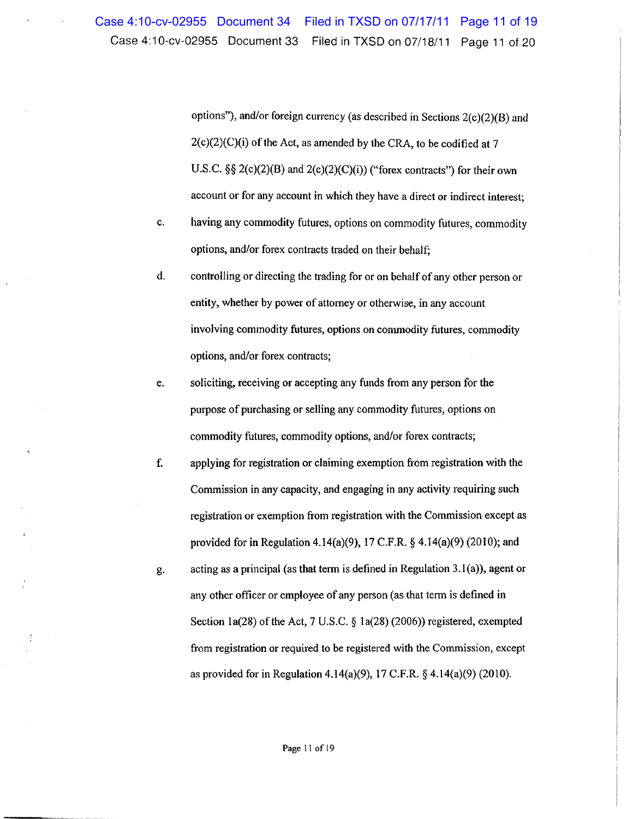options"), and/or foreign currency (as described in Sections  $2(c)(2)(B)$  and  $2(c)(2)(C)(i)$  of the Act, as amended by the CRA, to be codified at 7 U.S.C.  $\S\S 2(c)(2)(B)$  and  $2(c)(2)(C)(i)$  ("forex contracts") for their own account or for any account in which they have a direct or indirect interest;

- c. having any commodity futures, options on commodity futures, commodity options, and/or forex contracts traded on their behalf;
- d. controlling or directing the trading for or on behalf of any other person or entity, whether by power of attorney or otherwise, in any account involving commodity futures, options on commodity futures, commodity options, and/or forex contracts;
- soliciting, receiving or accepting any funds from any person for the e. purpose of purchasing or selling any commodity futures, options on commodity futures, commodity options, and/or forex contracts;
- f. applying for registration or claiming exemption from registration with the Commission in any capacity, and engaging in any activity requiring such registration or exemption from registration with the Commission except as provided for in Regulation 4.14(a)(9), 17 C.F.R.  $\S$  4.14(a)(9) (2010); and
- acting as a principal (as that term is defined in Regulation  $3.1(a)$ ), agent or g. any other officer or employee of any person (as that term is defined in Section 1a(28) of the Act, 7 U.S.C.  $\S$  1a(28) (2006)) registered, exempted from registration or required to be registered with the Commission, except as provided for in Regulation 4.14(a)(9), 17 C.F.R.  $\S$  4.14(a)(9) (2010).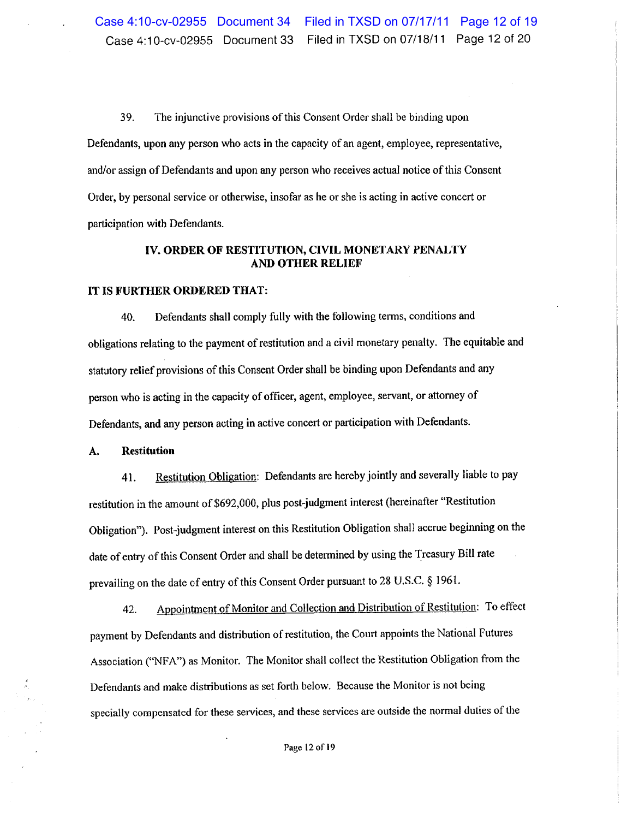39. The injunctive provisions of this Consent Order shall be binding upon Defendants, upon any person who acts in the capacity of an agent, employee, representative, and/or assign of Defendants and upon any person who receives actual notice of this Consent Order, by personal service or otherwise, insofar as he or she is acting in active concert or participation with Defendants.

# IV. ORDER OF RESTITUTION, CIVIL MONETARY PENALTY **AND OTHER RELIEF**

# IT IS FURTHER ORDERED THAT:

Defendants shall comply fully with the following terms, conditions and 40. obligations relating to the payment of restitution and a civil monetary penalty. The equitable and statutory relief provisions of this Consent Order shall be binding upon Defendants and any person who is acting in the capacity of officer, agent, employee, servant, or attorney of Defendants, and any person acting in active concert or participation with Defendants.

#### **Restitution** A.

Restitution Obligation: Defendants are hereby jointly and severally liable to pay 41. restitution in the amount of \$692,000, plus post-judgment interest (hereinafter "Restitution Obligation"). Post-judgment interest on this Restitution Obligation shall accrue beginning on the date of entry of this Consent Order and shall be determined by using the Treasury Bill rate prevailing on the date of entry of this Consent Order pursuant to 28 U.S.C. § 1961.

Appointment of Monitor and Collection and Distribution of Restitution: To effect 42. payment by Defendants and distribution of restitution, the Court appoints the National Futures Association ("NFA") as Monitor. The Monitor shall collect the Restitution Obligation from the Defendants and make distributions as set forth below. Because the Monitor is not being specially compensated for these services, and these services are outside the normal duties of the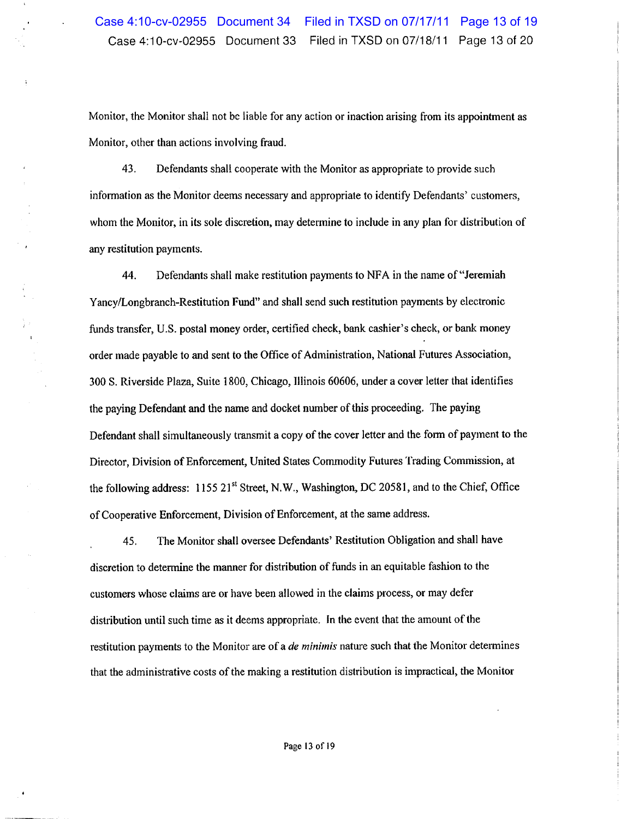Monitor, the Monitor shall not be liable for any action or inaction arising from its appointment as Monitor, other than actions involving fraud.

43. Defendants shall cooperate with the Monitor as appropriate to provide such information as the Monitor deems necessary and appropriate to identify Defendants' customers, whom the Monitor, in its sole discretion, may determine to include in any plan for distribution of any restitution payments.

 $\begin{bmatrix} 1 & 1 \\ 1 & 1 \\ 1 & 1 \end{bmatrix}$ 

44. Defendants shall make restitution payments to NFA in the name of "Jeremiah" Yancy/Longbranch-Restitution Fund" and shall send such restitution payments by electronic funds transfer, U.S. postal money order, certified check, bank cashier's check, or bank money order made payable to and sent to the Office of Administration, National Futures Association, 300 S. Riverside Plaza, Suite 1800, Chicago, Illinois 60606, under a cover letter that identifies the paying Defendant and the name and docket number of this proceeding. The paying Defendant shall simultaneously transmit a copy of the cover letter and the form of payment to the Director, Division of Enforcement, United States Commodity Futures Trading Commission, at the following address: 1155 21<sup>st</sup> Street, N.W., Washington, DC 20581, and to the Chief, Office of Cooperative Enforcement, Division of Enforcement, at the same address.

The Monitor shall oversee Defendants' Restitution Obligation and shall have 45. discretion to determine the manner for distribution of funds in an equitable fashion to the customers whose claims are or have been allowed in the claims process, or may defer distribution until such time as it deems appropriate. In the event that the amount of the restitution payments to the Monitor are of a de minimis nature such that the Monitor determines that the administrative costs of the making a restitution distribution is impractical, the Monitor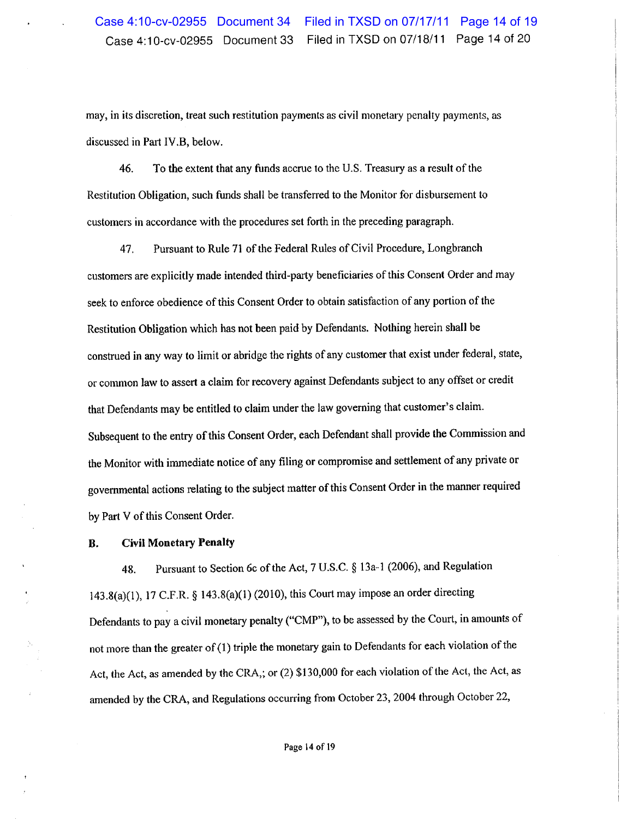may, in its discretion, treat such restitution payments as civil monetary penalty payments, as discussed in Part IV.B, below.

To the extent that any funds accrue to the U.S. Treasury as a result of the 46. Restitution Obligation, such funds shall be transferred to the Monitor for disbursement to customers in accordance with the procedures set forth in the preceding paragraph.

Pursuant to Rule 71 of the Federal Rules of Civil Procedure, Longbranch 47. customers are explicitly made intended third-party beneficiaries of this Consent Order and may seek to enforce obedience of this Consent Order to obtain satisfaction of any portion of the Restitution Obligation which has not been paid by Defendants. Nothing herein shall be construed in any way to limit or abridge the rights of any customer that exist under federal, state, or common law to assert a claim for recovery against Defendants subject to any offset or credit that Defendants may be entitled to claim under the law governing that customer's claim. Subsequent to the entry of this Consent Order, each Defendant shall provide the Commission and the Monitor with immediate notice of any filing or compromise and settlement of any private or governmental actions relating to the subject matter of this Consent Order in the manner required by Part V of this Consent Order.

### **Civil Monetary Penalty** В.

Pursuant to Section 6c of the Act, 7 U.S.C. § 13a-1 (2006), and Regulation 48. 143.8(a)(1), 17 C.F.R. § 143.8(a)(1) (2010), this Court may impose an order directing Defendants to pay a civil monetary penalty ("CMP"), to be assessed by the Court, in amounts of not more than the greater of (1) triple the monetary gain to Defendants for each violation of the Act, the Act, as amended by the CRA,; or (2) \$130,000 for each violation of the Act, the Act, as amended by the CRA, and Regulations occurring from October 23, 2004 through October 22,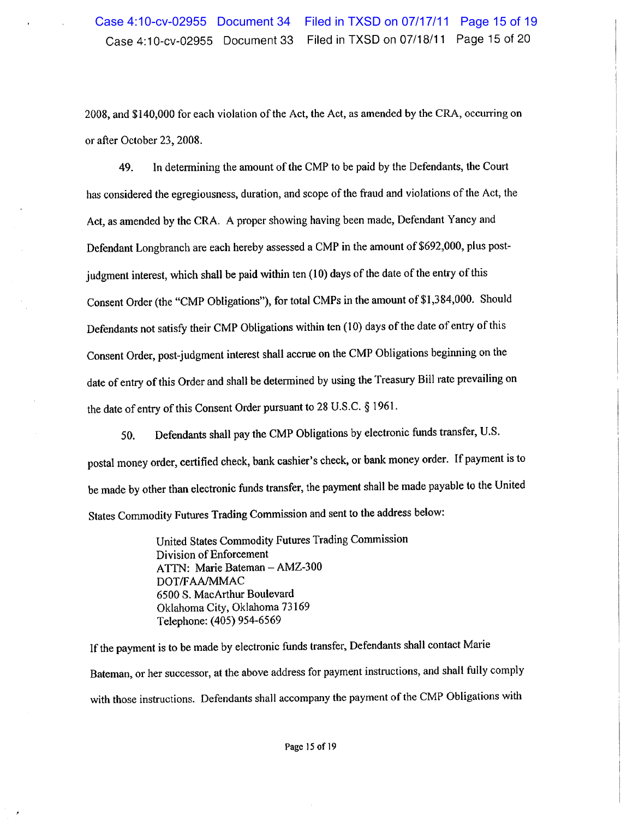2008, and \$140,000 for each violation of the Act, the Act, as amended by the CRA, occurring on or after October 23, 2008.

49. In determining the amount of the CMP to be paid by the Defendants, the Court has considered the egregiousness, duration, and scope of the fraud and violations of the Act, the Act, as amended by the CRA. A proper showing having been made, Defendant Yancy and Defendant Longbranch are each hereby assessed a CMP in the amount of \$692,000, plus postjudgment interest, which shall be paid within ten (10) days of the date of the entry of this Consent Order (the "CMP Obligations"), for total CMPs in the amount of \$1,384,000. Should Defendants not satisfy their CMP Obligations within ten (10) days of the date of entry of this Consent Order, post-judgment interest shall accrue on the CMP Obligations beginning on the date of entry of this Order and shall be determined by using the Treasury Bill rate prevailing on the date of entry of this Consent Order pursuant to 28 U.S.C. § 1961.

Defendants shall pay the CMP Obligations by electronic funds transfer, U.S. 50. postal money order, certified check, bank cashier's check, or bank money order. If payment is to be made by other than electronic funds transfer, the payment shall be made payable to the United States Commodity Futures Trading Commission and sent to the address below:

> United States Commodity Futures Trading Commission Division of Enforcement ATTN: Marie Bateman - AMZ-300 DOT/FAA/MMAC 6500 S. MacArthur Boulevard Oklahoma City, Oklahoma 73169 Telephone: (405) 954-6569

If the payment is to be made by electronic funds transfer, Defendants shall contact Marie Bateman, or her successor, at the above address for payment instructions, and shall fully comply with those instructions. Defendants shall accompany the payment of the CMP Obligations with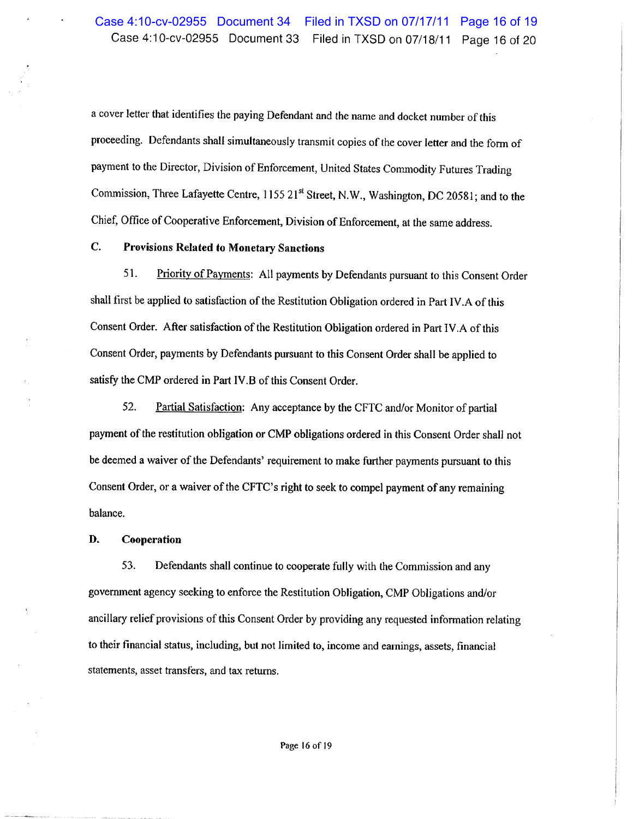a cover letter that identifies the paying Defendant and the name and docket number of this proceeding. Defendants shall simultaneously transmit copies of the cover letter and the form of payment to the Director, Division of Enforcement, United States Commodity Futures Trading Commission, Three Lafayette Centre, 1155 21<sup>st</sup> Street, N.W., Washington, DC 20581; and to the Chief, Office of Cooperative Enforcement, Division of Enforcement, at the same address.

### $\overline{C}$ . **Provisions Related to Monetary Sanctions**

51. Priority of Payments: All payments by Defendants pursuant to this Consent Order shall first be applied to satisfaction of the Restitution Obligation ordered in Part IV.A of this Consent Order. After satisfaction of the Restitution Obligation ordered in Part IV.A of this Consent Order, payments by Defendants pursuant to this Consent Order shall be applied to satisfy the CMP ordered in Part IV.B of this Consent Order.

52. Partial Satisfaction: Any acceptance by the CFTC and/or Monitor of partial payment of the restitution obligation or CMP obligations ordered in this Consent Order shall not be deemed a waiver of the Defendants' requirement to make further payments pursuant to this Consent Order, or a waiver of the CFTC's right to seek to compel payment of any remaining balance.

#### D. Cooperation

53. Defendants shall continue to cooperate fully with the Commission and any government agency seeking to enforce the Restitution Obligation, CMP Obligations and/or ancillary relief provisions of this Consent Order by providing any requested information relating to their financial status, including, but not limited to, income and earnings, assets, financial statements, asset transfers, and tax returns.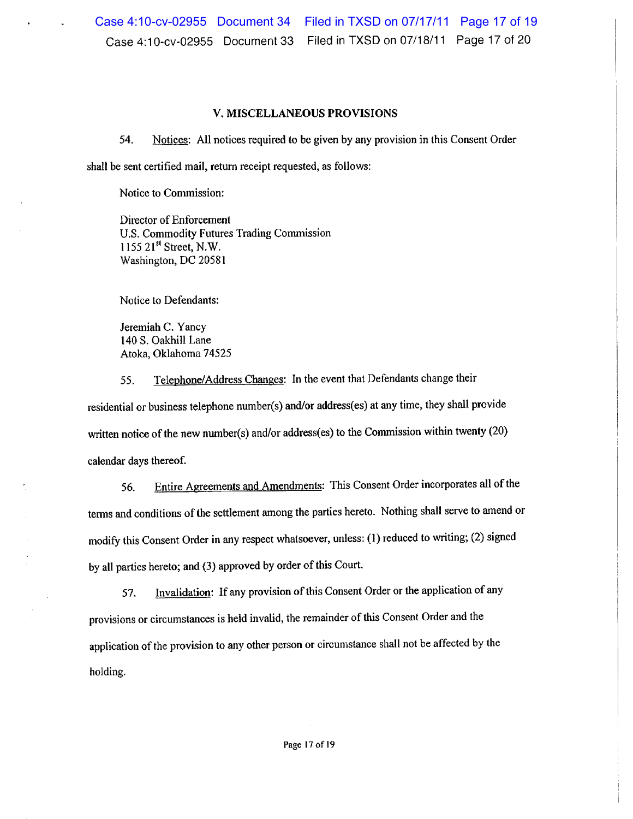### V. MISCELLANEOUS PROVISIONS

54. Notices: All notices required to be given by any provision in this Consent Order shall be sent certified mail, return receipt requested, as follows:

Notice to Commission:

Director of Enforcement U.S. Commodity Futures Trading Commission 1155 21<sup>st</sup> Street, N.W. Washington, DC 20581

Notice to Defendants:

Jeremiah C. Yancy 140 S. Oakhill Lane Atoka, Oklahoma 74525

Telephone/Address Changes: In the event that Defendants change their 55. residential or business telephone number(s) and/or address(es) at any time, they shall provide written notice of the new number(s) and/or address(es) to the Commission within twenty (20) calendar days thereof.

Entire Agreements and Amendments: This Consent Order incorporates all of the 56. terms and conditions of the settlement among the parties hereto. Nothing shall serve to amend or modify this Consent Order in any respect whatsoever, unless: (1) reduced to writing; (2) signed by all parties hereto; and (3) approved by order of this Court.

Invalidation: If any provision of this Consent Order or the application of any 57. provisions or circumstances is held invalid, the remainder of this Consent Order and the application of the provision to any other person or circumstance shall not be affected by the holding.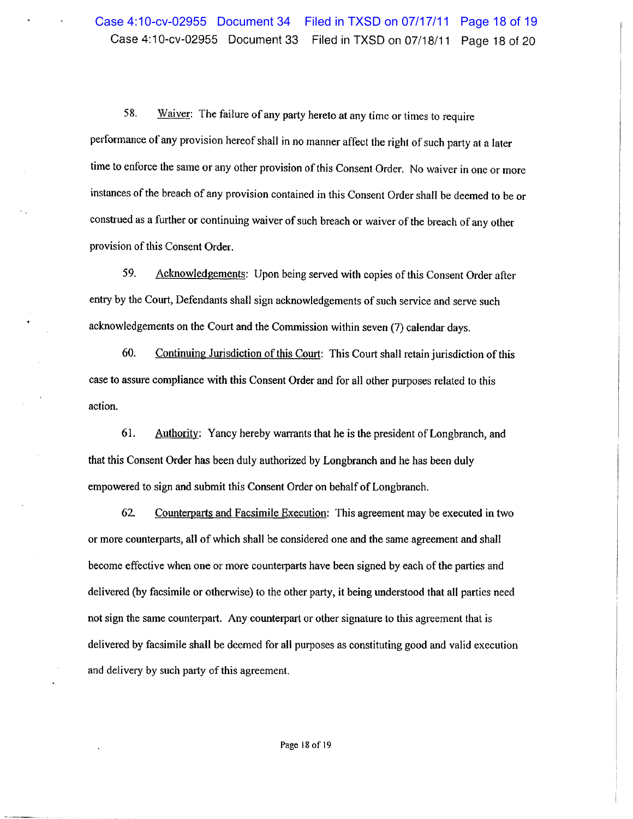58. Waiver: The failure of any party hereto at any time or times to require performance of any provision hereof shall in no manner affect the right of such party at a later time to enforce the same or any other provision of this Consent Order. No waiver in one or more instances of the breach of any provision contained in this Consent Order shall be deemed to be or construed as a further or continuing waiver of such breach or waiver of the breach of any other provision of this Consent Order.

59. Acknowledgements: Upon being served with copies of this Consent Order after entry by the Court, Defendants shall sign acknowledgements of such service and serve such acknowledgements on the Court and the Commission within seven (7) calendar days.

60. Continuing Jurisdiction of this Court: This Court shall retain jurisdiction of this case to assure compliance with this Consent Order and for all other purposes related to this action.

61. Authority: Yancy hereby warrants that he is the president of Longbranch, and that this Consent Order has been duly authorized by Longbranch and he has been duly empowered to sign and submit this Consent Order on behalf of Longbranch.

62. Counterparts and Facsimile Execution: This agreement may be executed in two or more counterparts, all of which shall be considered one and the same agreement and shall become effective when one or more counterparts have been signed by each of the parties and delivered (by facsimile or otherwise) to the other party, it being understood that all parties need not sign the same counterpart. Any counterpart or other signature to this agreement that is delivered by facsimile shall be deemed for all purposes as constituting good and valid execution and delivery by such party of this agreement.